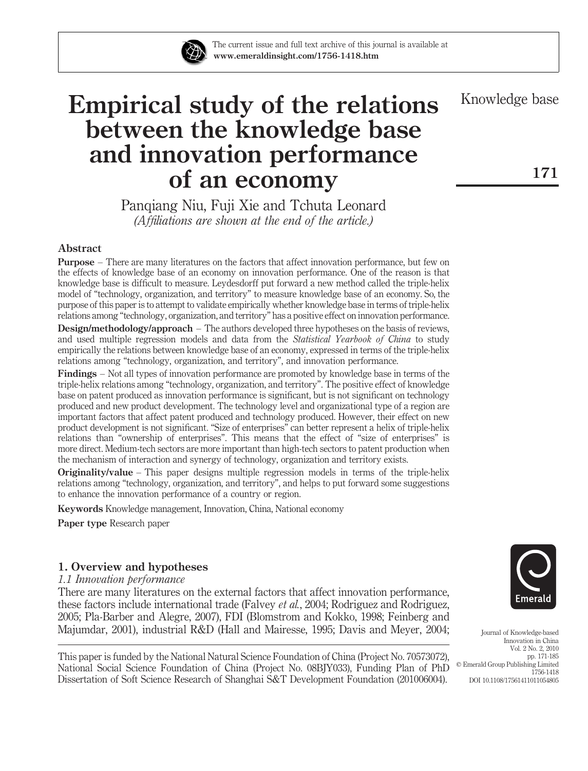

# Empirical study of the relations between the knowledge base and innovation performance of an economy

Panqiang Niu, Fuji Xie and Tchuta Leonard (Affiliations are shown at the end of the article.)

### Abstract

Purpose – There are many literatures on the factors that affect innovation performance, but few on the effects of knowledge base of an economy on innovation performance. One of the reason is that knowledge base is difficult to measure. Leydesdorff put forward a new method called the triple-helix model of "technology, organization, and territory" to measure knowledge base of an economy. So, the purpose of this paper is to attempt to validate empirically whether knowledge base in terms of triple-helix relations among "technology, organization, and territory" has a positive effect on innovation performance.

Design/methodology/approach – The authors developed three hypotheses on the basis of reviews, and used multiple regression models and data from the Statistical Yearbook of China to study empirically the relations between knowledge base of an economy, expressed in terms of the triple-helix relations among "technology, organization, and territory", and innovation performance.

Findings – Not all types of innovation performance are promoted by knowledge base in terms of the triple-helix relations among "technology, organization, and territory". The positive effect of knowledge base on patent produced as innovation performance is significant, but is not significant on technology produced and new product development. The technology level and organizational type of a region are important factors that affect patent produced and technology produced. However, their effect on new product development is not significant. "Size of enterprises" can better represent a helix of triple-helix relations than "ownership of enterprises". This means that the effect of "size of enterprises" is more direct. Medium-tech sectors are more important than high-tech sectors to patent production when the mechanism of interaction and synergy of technology, organization and territory exists.

**Originality/value** – This paper designs multiple regression models in terms of the triple-helix relations among "technology, organization, and territory", and helps to put forward some suggestions to enhance the innovation performance of a country or region.

Keywords Knowledge management, Innovation, China, National economy

Paper type Research paper

# 1. Overview and hypotheses

1.1 Innovation performance

There are many literatures on the external factors that affect innovation performance, these factors include international trade (Falvey et al., 2004; Rodriguez and Rodriguez, 2005; Pla-Barber and Alegre, 2007), FDI (Blomstrom and Kokko, 1998; Feinberg and Majumdar, 2001), industrial R&D (Hall and Mairesse, 1995; Davis and Meyer, 2004;

This paper is funded by the National Natural Science Foundation of China (Project No. 70573072), National Social Science Foundation of China (Project No. 08BJY033), Funding Plan of PhD Dissertation of Soft Science Research of Shanghai S&T Development Foundation (201006004).



Journal of Knowledge-based Innovation in China Vol. 2 No. 2, 2010 pp. 171-185  $©$  Emerald Group Publishing Limited 1756-1418 DOI 10.1108/17561411011054805

Knowledge base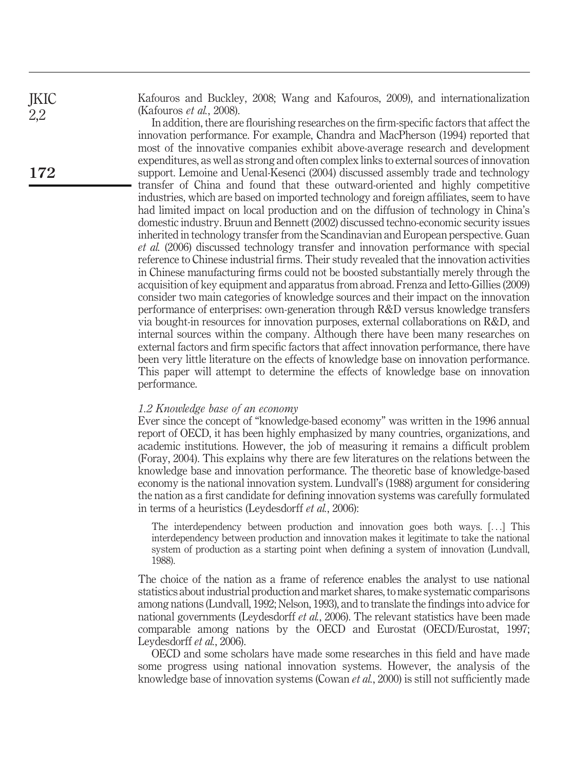Kafouros and Buckley, 2008; Wang and Kafouros, 2009), and internationalization (Kafouros et al., 2008).

In addition, there are flourishing researches on the firm-specific factors that affect the innovation performance. For example, Chandra and MacPherson (1994) reported that most of the innovative companies exhibit above-average research and development expenditures, as well as strong and often complex links to external sources of innovation support. Lemoine and Uenal-Kesenci (2004) discussed assembly trade and technology transfer of China and found that these outward-oriented and highly competitive industries, which are based on imported technology and foreign affiliates, seem to have had limited impact on local production and on the diffusion of technology in China's domestic industry. Bruun and Bennett (2002) discussed techno-economic security issues inherited in technology transfer from the Scandinavian and European perspective. Guan et al. (2006) discussed technology transfer and innovation performance with special reference to Chinese industrial firms. Their study revealed that the innovation activities in Chinese manufacturing firms could not be boosted substantially merely through the acquisition of key equipment and apparatus from abroad. Frenza and Ietto-Gillies (2009) consider two main categories of knowledge sources and their impact on the innovation performance of enterprises: own-generation through R&D versus knowledge transfers via bought-in resources for innovation purposes, external collaborations on R&D, and internal sources within the company. Although there have been many researches on external factors and firm specific factors that affect innovation performance, there have been very little literature on the effects of knowledge base on innovation performance. This paper will attempt to determine the effects of knowledge base on innovation performance.

#### 1.2 Knowledge base of an economy

Ever since the concept of "knowledge-based economy" was written in the 1996 annual report of OECD, it has been highly emphasized by many countries, organizations, and academic institutions. However, the job of measuring it remains a difficult problem (Foray, 2004). This explains why there are few literatures on the relations between the knowledge base and innovation performance. The theoretic base of knowledge-based economy is the national innovation system. Lundvall's (1988) argument for considering the nation as a first candidate for defining innovation systems was carefully formulated in terms of a heuristics (Leydesdorff et al., 2006):

The interdependency between production and innovation goes both ways. [...] This interdependency between production and innovation makes it legitimate to take the national system of production as a starting point when defining a system of innovation (Lundvall, 1988).

The choice of the nation as a frame of reference enables the analyst to use national statistics about industrial production and market shares, to make systematic comparisons among nations (Lundvall, 1992; Nelson, 1993), and to translate the findings into advice for national governments (Leydesdorff et al., 2006). The relevant statistics have been made comparable among nations by the OECD and Eurostat (OECD/Eurostat, 1997; Leydesdorff et al., 2006).

OECD and some scholars have made some researches in this field and have made some progress using national innovation systems. However, the analysis of the knowledge base of innovation systems (Cowan *et al.*, 2000) is still not sufficiently made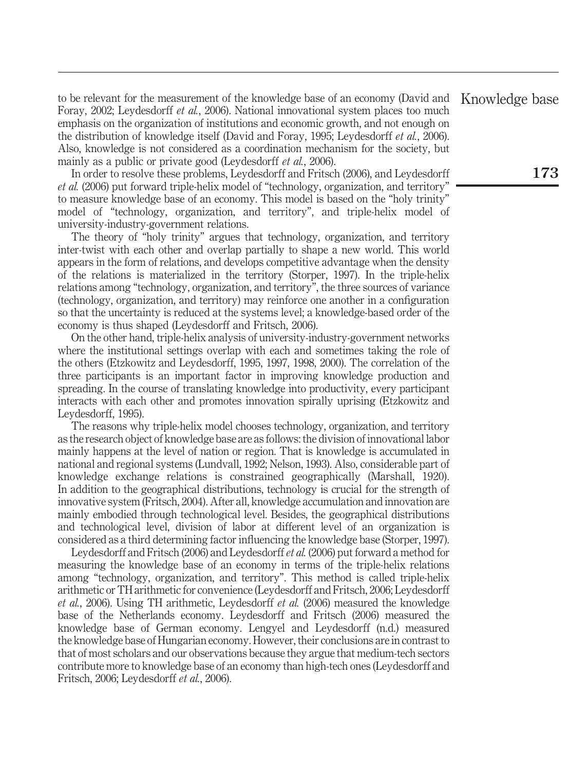to be relevant for the measurement of the knowledge base of an economy (David and Foray, 2002; Leydesdorff et al., 2006). National innovational system places too much emphasis on the organization of institutions and economic growth, and not enough on the distribution of knowledge itself (David and Foray, 1995; Leydesdorff et al., 2006). Also, knowledge is not considered as a coordination mechanism for the society, but mainly as a public or private good (Leydesdorff et al., 2006).

In order to resolve these problems, Leydesdorff and Fritsch (2006), and Leydesdorff et al. (2006) put forward triple-helix model of "technology, organization, and territory" to measure knowledge base of an economy. This model is based on the "holy trinity" model of "technology, organization, and territory", and triple-helix model of university-industry-government relations.

The theory of "holy trinity" argues that technology, organization, and territory inter-twist with each other and overlap partially to shape a new world. This world appears in the form of relations, and develops competitive advantage when the density of the relations is materialized in the territory (Storper, 1997). In the triple-helix relations among "technology, organization, and territory", the three sources of variance (technology, organization, and territory) may reinforce one another in a configuration so that the uncertainty is reduced at the systems level; a knowledge-based order of the economy is thus shaped (Leydesdorff and Fritsch, 2006).

On the other hand, triple-helix analysis of university-industry-government networks where the institutional settings overlap with each and sometimes taking the role of the others (Etzkowitz and Leydesdorff, 1995, 1997, 1998, 2000). The correlation of the three participants is an important factor in improving knowledge production and spreading. In the course of translating knowledge into productivity, every participant interacts with each other and promotes innovation spirally uprising (Etzkowitz and Leydesdorff, 1995).

The reasons why triple-helix model chooses technology, organization, and territory as the research object of knowledge base are as follows: the division of innovational labor mainly happens at the level of nation or region. That is knowledge is accumulated in national and regional systems (Lundvall, 1992; Nelson, 1993). Also, considerable part of knowledge exchange relations is constrained geographically (Marshall, 1920). In addition to the geographical distributions, technology is crucial for the strength of innovative system (Fritsch, 2004). After all, knowledge accumulation and innovation are mainly embodied through technological level. Besides, the geographical distributions and technological level, division of labor at different level of an organization is considered as a third determining factor influencing the knowledge base (Storper, 1997).

Leydesdorff and Fritsch (2006) and Leydesdorff et al. (2006) put forward a method for measuring the knowledge base of an economy in terms of the triple-helix relations among "technology, organization, and territory". This method is called triple-helix arithmetic or TH arithmetic for convenience (Leydesdorff and Fritsch, 2006; Leydesdorff et al., 2006). Using TH arithmetic, Leydesdorff et al. (2006) measured the knowledge base of the Netherlands economy. Leydesdorff and Fritsch (2006) measured the knowledge base of German economy. Lengyel and Leydesdorff (n.d.) measured the knowledge base of Hungarian economy. However, their conclusions are in contrast to that of most scholars and our observations because they argue that medium-tech sectors contribute more to knowledge base of an economy than high-tech ones (Leydesdorff and Fritsch, 2006; Leydesdorff et al., 2006).

Knowledge base

173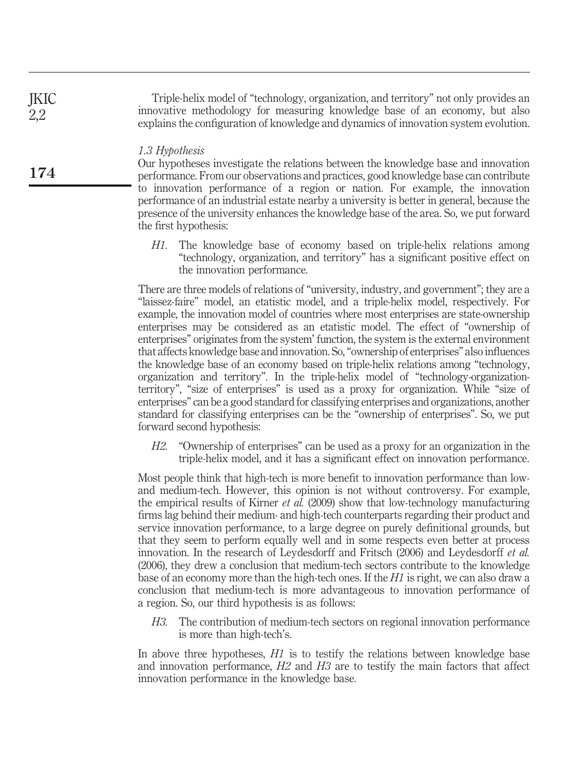Triple-helix model of "technology, organization, and territory" not only provides an innovative methodology for measuring knowledge base of an economy, but also explains the configuration of knowledge and dynamics of innovation system evolution.

#### 1.3 Hypothesis

Our hypotheses investigate the relations between the knowledge base and innovation performance. From our observations and practices, good knowledge base can contribute to innovation performance of a region or nation. For example, the innovation performance of an industrial estate nearby a university is better in general, because the presence of the university enhances the knowledge base of the area. So, we put forward the first hypothesis:

H1. The knowledge base of economy based on triple-helix relations among "technology, organization, and territory" has a significant positive effect on the innovation performance.

There are three models of relations of "university, industry, and government"; they are a "laissez-faire" model, an etatistic model, and a triple-helix model, respectively. For example, the innovation model of countries where most enterprises are state-ownership enterprises may be considered as an etatistic model. The effect of "ownership of enterprises" originates from the system' function, the system is the external environment that affects knowledge base and innovation. So, "ownership of enterprises" also influences the knowledge base of an economy based on triple-helix relations among "technology, organization and territory". In the triple-helix model of "technology-organizationterritory", "size of enterprises" is used as a proxy for organization. While "size of enterprises" can be a good standard for classifying enterprises and organizations, another standard for classifying enterprises can be the "ownership of enterprises". So, we put forward second hypothesis:

H2. "Ownership of enterprises" can be used as a proxy for an organization in the triple-helix model, and it has a significant effect on innovation performance.

Most people think that high-tech is more benefit to innovation performance than lowand medium-tech. However, this opinion is not without controversy. For example, the empirical results of Kirner et al. (2009) show that low-technology manufacturing firms lag behind their medium- and high-tech counterparts regarding their product and service innovation performance, to a large degree on purely definitional grounds, but that they seem to perform equally well and in some respects even better at process innovation. In the research of Leydesdorff and Fritsch (2006) and Leydesdorff et al. (2006), they drew a conclusion that medium-tech sectors contribute to the knowledge base of an economy more than the high-tech ones. If the H1 is right, we can also draw a conclusion that medium-tech is more advantageous to innovation performance of a region. So, our third hypothesis is as follows:

H3. The contribution of medium-tech sectors on regional innovation performance is more than high-tech's.

In above three hypotheses,  $H1$  is to testify the relations between knowledge base and innovation performance, H2 and H3 are to testify the main factors that affect innovation performance in the knowledge base.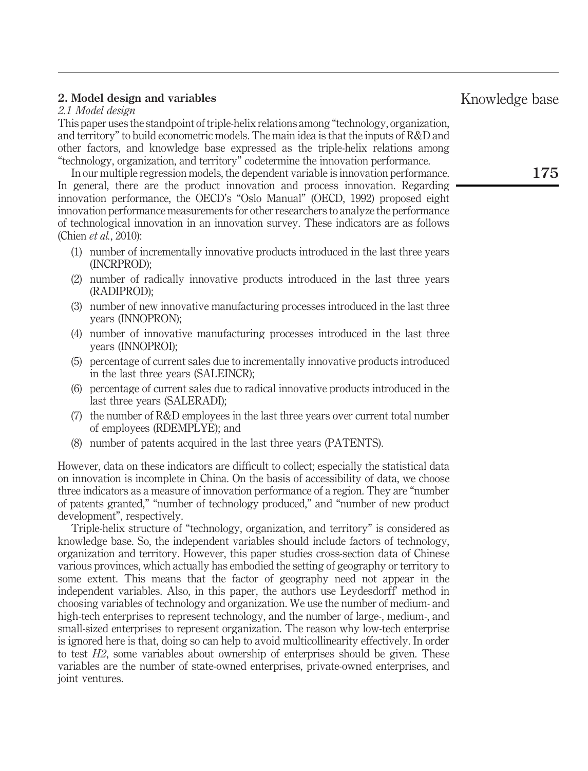# 2. Model design and variables

### 2.1 Model design

This paper uses the standpoint of triple-helix relations among "technology, organization, and territory" to build econometric models. The main idea is that the inputs of R&D and other factors, and knowledge base expressed as the triple-helix relations among "technology, organization, and territory" codetermine the innovation performance.

In our multiple regression models, the dependent variable is innovation performance. In general, there are the product innovation and process innovation. Regarding innovation performance, the OECD's "Oslo Manual" (OECD, 1992) proposed eight innovation performance measurements for other researchers to analyze the performance of technological innovation in an innovation survey. These indicators are as follows (Chien et al., 2010):

- (1) number of incrementally innovative products introduced in the last three years (INCRPROD);
- (2) number of radically innovative products introduced in the last three years (RADIPROD);
- (3) number of new innovative manufacturing processes introduced in the last three years (INNOPRON);
- (4) number of innovative manufacturing processes introduced in the last three years (INNOPROI);
- (5) percentage of current sales due to incrementally innovative products introduced in the last three years (SALEINCR);
- (6) percentage of current sales due to radical innovative products introduced in the last three years (SALERADI);
- (7) the number of R&D employees in the last three years over current total number of employees (RDEMPLYE); and
- (8) number of patents acquired in the last three years (PATENTS).

However, data on these indicators are difficult to collect; especially the statistical data on innovation is incomplete in China. On the basis of accessibility of data, we choose three indicators as a measure of innovation performance of a region. They are "number of patents granted," "number of technology produced," and "number of new product development", respectively.

Triple-helix structure of "technology, organization, and territory" is considered as knowledge base. So, the independent variables should include factors of technology, organization and territory. However, this paper studies cross-section data of Chinese various provinces, which actually has embodied the setting of geography or territory to some extent. This means that the factor of geography need not appear in the independent variables. Also, in this paper, the authors use Leydesdorff' method in choosing variables of technology and organization. We use the number of medium- and high-tech enterprises to represent technology, and the number of large-, medium-, and small-sized enterprises to represent organization. The reason why low-tech enterprise is ignored here is that, doing so can help to avoid multicollinearity effectively. In order to test H2, some variables about ownership of enterprises should be given. These variables are the number of state-owned enterprises, private-owned enterprises, and joint ventures.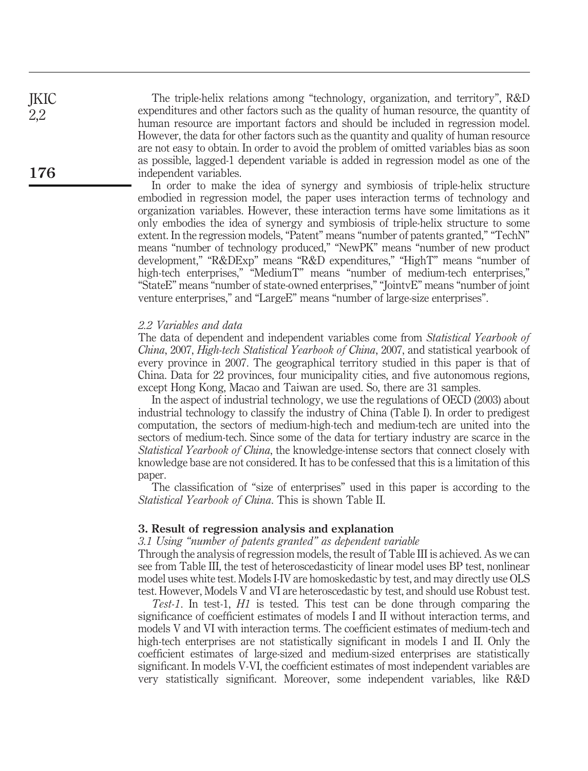The triple-helix relations among "technology, organization, and territory", R&D expenditures and other factors such as the quality of human resource, the quantity of human resource are important factors and should be included in regression model. However, the data for other factors such as the quantity and quality of human resource are not easy to obtain. In order to avoid the problem of omitted variables bias as soon as possible, lagged-1 dependent variable is added in regression model as one of the independent variables.

In order to make the idea of synergy and symbiosis of triple-helix structure embodied in regression model, the paper uses interaction terms of technology and organization variables. However, these interaction terms have some limitations as it only embodies the idea of synergy and symbiosis of triple-helix structure to some extent. In the regression models, "Patent" means "number of patents granted," "TechN" means "number of technology produced," "NewPK" means "number of new product development," "R&DExp" means "R&D expenditures," "HighT" means "number of high-tech enterprises," "MediumT" means "number of medium-tech enterprises," "StateE" means "number of state-owned enterprises," "JointvE" means "number of joint venture enterprises," and "LargeE" means "number of large-size enterprises".

#### 2.2 Variables and data

The data of dependent and independent variables come from *Statistical Yearbook of* China, 2007, High-tech Statistical Yearbook of China, 2007, and statistical yearbook of every province in 2007. The geographical territory studied in this paper is that of China. Data for 22 provinces, four municipality cities, and five autonomous regions, except Hong Kong, Macao and Taiwan are used. So, there are 31 samples.

In the aspect of industrial technology, we use the regulations of OECD (2003) about industrial technology to classify the industry of China (Table I). In order to predigest computation, the sectors of medium-high-tech and medium-tech are united into the sectors of medium-tech. Since some of the data for tertiary industry are scarce in the Statistical Yearbook of China, the knowledge-intense sectors that connect closely with knowledge base are not considered. It has to be confessed that this is a limitation of this paper.

The classification of "size of enterprises" used in this paper is according to the Statistical Yearbook of China. This is shown Table II.

#### 3. Result of regression analysis and explanation

3.1 Using "number of patents granted" as dependent variable

Through the analysis of regression models, the result of Table III is achieved. As we can see from Table III, the test of heteroscedasticity of linear model uses BP test, nonlinear model uses white test. Models I-IV are homoskedastic by test, and may directly use OLS test. However, Models V and VI are heteroscedastic by test, and should use Robust test.

Test-1. In test-1,  $H1$  is tested. This test can be done through comparing the significance of coefficient estimates of models I and II without interaction terms, and models V and VI with interaction terms. The coefficient estimates of medium-tech and high-tech enterprises are not statistically significant in models I and II. Only the coefficient estimates of large-sized and medium-sized enterprises are statistically significant. In models V-VI, the coefficient estimates of most independent variables are very statistically significant. Moreover, some independent variables, like R&D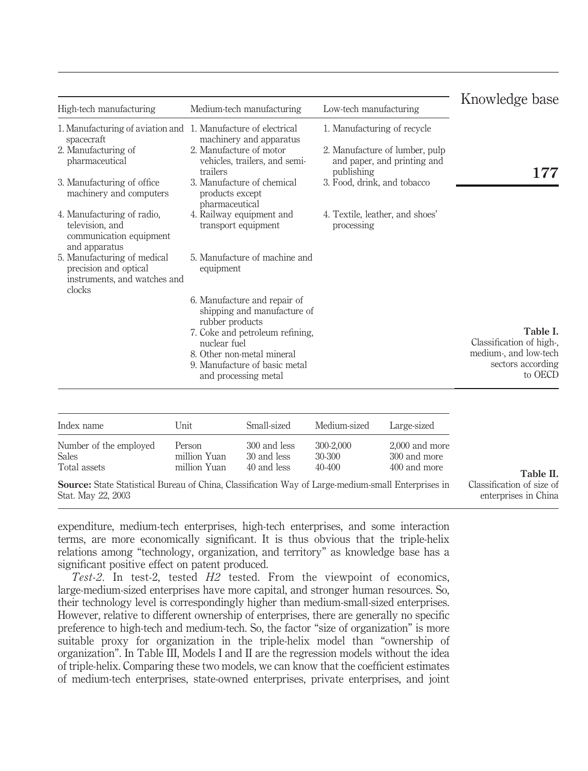| High-tech manufacturing                                                                        | Medium-tech manufacturing                                                                                                              | Low-tech manufacturing                                                      | Knowledge base                                                                                |
|------------------------------------------------------------------------------------------------|----------------------------------------------------------------------------------------------------------------------------------------|-----------------------------------------------------------------------------|-----------------------------------------------------------------------------------------------|
| 1. Manufacturing of aviation and 1. Manufacture of electrical<br>spacecraft                    | machinery and apparatus                                                                                                                | 1. Manufacturing of recycle                                                 |                                                                                               |
| 2. Manufacturing of<br>pharmaceutical                                                          | 2. Manufacture of motor<br>vehicles, trailers, and semi-<br>trailers                                                                   | 2. Manufacture of lumber, pulp<br>and paper, and printing and<br>publishing |                                                                                               |
| 3. Manufacturing of office.<br>machinery and computers                                         | 3. Manufacture of chemical<br>products except<br>pharmaceutical                                                                        | 3. Food, drink, and tobacco                                                 |                                                                                               |
| 4. Manufacturing of radio,<br>television, and<br>communication equipment<br>and apparatus      | 4. Railway equipment and<br>transport equipment                                                                                        | 4. Textile, leather, and shoes'<br>processing                               |                                                                                               |
| 5. Manufacturing of medical<br>precision and optical<br>instruments, and watches and<br>clocks | 5. Manufacture of machine and<br>equipment                                                                                             |                                                                             |                                                                                               |
|                                                                                                | 6. Manufacture and repair of<br>shipping and manufacture of<br>rubber products                                                         |                                                                             |                                                                                               |
|                                                                                                | 7. Coke and petroleum refining,<br>nuclear fuel<br>8. Other non-metal mineral<br>9. Manufacture of basic metal<br>and processing metal |                                                                             | Table I.<br>Classification of high-,<br>medium-, and low-tech<br>sectors according<br>to OECD |

| Index name             | Unit         | Small-sized  | Medium-sized | Large-sized      |
|------------------------|--------------|--------------|--------------|------------------|
| Number of the employed | Person       | 300 and less | 300-2,000    | $2,000$ and more |
| <b>Sales</b>           | million Yuan | 30 and less  | 30-300       | 300 and more     |
| Total assets           | million Yuan | 40 and less  | 40-400       | 400 and more     |

Source: State Statistical Bureau of China, Classification Way of Large-medium-small Enterprises in Stat. May 22, 2003

Table II. Classification of size of enterprises in China

expenditure, medium-tech enterprises, high-tech enterprises, and some interaction terms, are more economically significant. It is thus obvious that the triple-helix relations among "technology, organization, and territory" as knowledge base has a significant positive effect on patent produced.

Test-2. In test-2, tested H2 tested. From the viewpoint of economics, large-medium-sized enterprises have more capital, and stronger human resources. So, their technology level is correspondingly higher than medium-small-sized enterprises. However, relative to different ownership of enterprises, there are generally no specific preference to high-tech and medium-tech. So, the factor "size of organization" is more suitable proxy for organization in the triple-helix model than "ownership of organization". In Table III, Models I and II are the regression models without the idea of triple-helix. Comparing these two models, we can know that the coefficient estimates of medium-tech enterprises, state-owned enterprises, private enterprises, and joint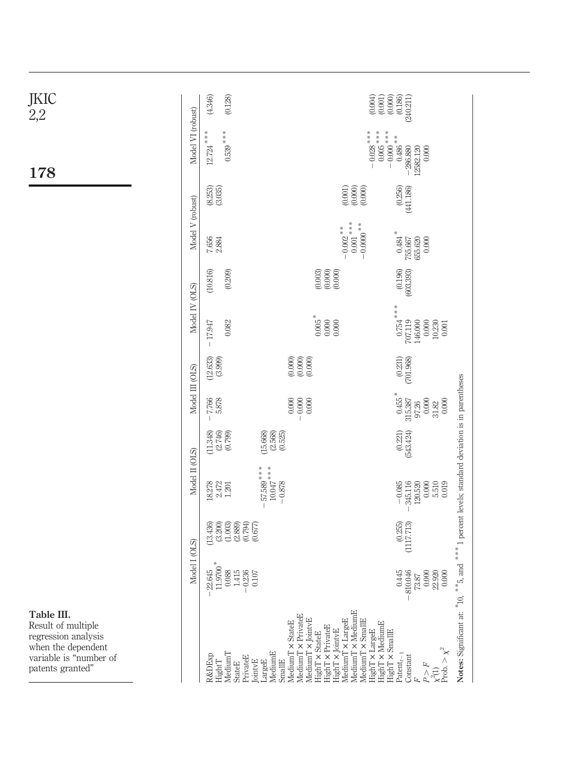| $\rm JKIC$ $\rm 2.2$                                                                                                        |                   | (0.128)<br>(4.346)                                                                         |                                                                                                                               | (0.004)<br>(0.001)<br>(0.000)                                                                                                                           | (0.186)<br>(240.211)                                                                                                                                  |
|-----------------------------------------------------------------------------------------------------------------------------|-------------------|--------------------------------------------------------------------------------------------|-------------------------------------------------------------------------------------------------------------------------------|---------------------------------------------------------------------------------------------------------------------------------------------------------|-------------------------------------------------------------------------------------------------------------------------------------------------------|
| 178                                                                                                                         | Model VI (robust) | $0.539***$<br>$12.724$ ***                                                                 |                                                                                                                               | $-0.028^{\;***}$<br>$0.005$ ***<br>$-0.000^{\; *}$                                                                                                      | $0.486$ **<br>$-286,880$<br>12582.120<br>0.000                                                                                                        |
|                                                                                                                             |                   | $(8.253)$<br>$(3.035)$                                                                     |                                                                                                                               | (0.001)<br>$(0.000)$<br>$(0.000)$                                                                                                                       | (0.256)<br>(441.186)                                                                                                                                  |
|                                                                                                                             | Model V (robust)  | 7.656<br>2.884                                                                             |                                                                                                                               | $0.001$ $\ ^{***}$<br>$-0.0000$ $^{\ast\,*}$<br>$-0.002$ <sup>**</sup>                                                                                  | $0.484$ *<br>755.667<br>655.620<br>0.000                                                                                                              |
|                                                                                                                             |                   | (10.816)<br>(0.209)                                                                        | (0.003)                                                                                                                       | (0.000)                                                                                                                                                 | (0.196)<br>(603.393)                                                                                                                                  |
|                                                                                                                             | Model IV (OLS)    | 0.082<br>$-17.947$                                                                         | $0.005$ $^{\ast}$                                                                                                             | 0.000<br>0.000                                                                                                                                          | $0.754***$<br>707.119<br>146.000<br>0.000<br>10.230<br>0.001                                                                                          |
|                                                                                                                             |                   | (12.633)<br>(3.999)                                                                        | (0.000)<br>(0.000)<br>(0.000)                                                                                                 |                                                                                                                                                         | $(0.231)$<br>$(701.968)$                                                                                                                              |
|                                                                                                                             | Model III (OLS)   | 7.766<br>5.878                                                                             | 0.000<br>$-0.000$<br>0.000                                                                                                    |                                                                                                                                                         | $0.455$ $^{\ast}$<br>$\begin{array}{c} 315.387 \\ 97.26 \\ 0.000 \end{array}$<br>0.000<br>$31.82\,$                                                   |
|                                                                                                                             | Model II (OLS)    | (11.348)<br>$(2.746)$<br>$(0.799)$                                                         | (15.668)<br>$(2.568)$<br>$(0.525)$                                                                                            |                                                                                                                                                         | (0.221)<br>(543.424)                                                                                                                                  |
|                                                                                                                             |                   | 18278<br>$2.472$<br>1201                                                                   | $57.589***$<br>$10.047$ ***<br>$-0.878$                                                                                       |                                                                                                                                                         | $*$ *5, and $*$ * $*$ 1 percent levels; standard deviation is in parentheses<br>$0.000$<br>5.510<br>345.116<br>120.520<br>0.019<br>$-0.085$<br>1      |
|                                                                                                                             |                   | $\begin{array}{l} (13.436)\\ (3.200)\\ (1.003)\\ (2.889)\\ (0.794) \end{array}$<br>(0.677) |                                                                                                                               |                                                                                                                                                         | $(0.255)$<br>(1117.713)                                                                                                                               |
|                                                                                                                             | Model I (OLS)     | $11.9700$ $^{\ast}$<br>22.645<br>0.088<br>1.415<br>$0.107\,$<br>I                          |                                                                                                                               |                                                                                                                                                         | 0.000<br>0.445<br>$-810.046$<br>22.920<br>0.000<br>73.87                                                                                              |
| Table III.<br>Result of multiple<br>regression analysis<br>when the dependent<br>variable is "number of<br>patents granted" |                   | <b>R&amp;DExp</b><br>Medium <sup>1</sup><br>PrivateE<br>JointvE<br>HightT<br><b>StateE</b> | MediumT × PrivateE<br>MediumT × JointyE<br>MediumT × StateE<br><b>HighT</b> × StateE<br>MediumE<br>SmallE<br>$_{\rm Large E}$ | MediumT × MediumE<br>MediumT × LargeE<br>MediumT × SmallE<br>HighT × MediumE<br>HighT × PrivateE<br>HighT × JointvE<br>HighT × LargeE<br>HighT × SmallE | Notes: Significant at: *10,<br>$\begin{array}{l} {\rm Patent}_{t-1} \\ {\rm Constant} \\ F \\ P > F \\ \chi^2(1) \\ {\rm Prob.} > \chi^2 \end{array}$ |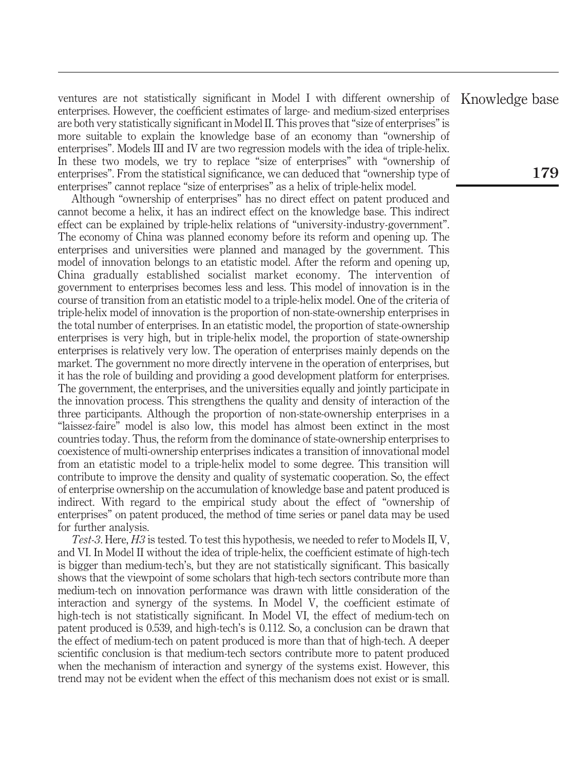ventures are not statistically significant in Model I with different ownership of enterprises. However, the coefficient estimates of large- and medium-sized enterprises are both very statistically significant in Model II. This proves that "size of enterprises" is more suitable to explain the knowledge base of an economy than "ownership of enterprises". Models III and IV are two regression models with the idea of triple-helix. In these two models, we try to replace "size of enterprises" with "ownership of enterprises". From the statistical significance, we can deduced that "ownership type of enterprises" cannot replace "size of enterprises" as a helix of triple-helix model.

Although "ownership of enterprises" has no direct effect on patent produced and cannot become a helix, it has an indirect effect on the knowledge base. This indirect effect can be explained by triple-helix relations of "university-industry-government". The economy of China was planned economy before its reform and opening up. The enterprises and universities were planned and managed by the government. This model of innovation belongs to an etatistic model. After the reform and opening up, China gradually established socialist market economy. The intervention of government to enterprises becomes less and less. This model of innovation is in the course of transition from an etatistic model to a triple-helix model. One of the criteria of triple-helix model of innovation is the proportion of non-state-ownership enterprises in the total number of enterprises. In an etatistic model, the proportion of state-ownership enterprises is very high, but in triple-helix model, the proportion of state-ownership enterprises is relatively very low. The operation of enterprises mainly depends on the market. The government no more directly intervene in the operation of enterprises, but it has the role of building and providing a good development platform for enterprises. The government, the enterprises, and the universities equally and jointly participate in the innovation process. This strengthens the quality and density of interaction of the three participants. Although the proportion of non-state-ownership enterprises in a "laissez-faire" model is also low, this model has almost been extinct in the most countries today. Thus, the reform from the dominance of state-ownership enterprises to coexistence of multi-ownership enterprises indicates a transition of innovational model from an etatistic model to a triple-helix model to some degree. This transition will contribute to improve the density and quality of systematic cooperation. So, the effect of enterprise ownership on the accumulation of knowledge base and patent produced is indirect. With regard to the empirical study about the effect of "ownership of enterprises" on patent produced, the method of time series or panel data may be used for further analysis.

Test-3. Here,  $H_3$  is tested. To test this hypothesis, we needed to refer to Models II, V, and VI. In Model II without the idea of triple-helix, the coefficient estimate of high-tech is bigger than medium-tech's, but they are not statistically significant. This basically shows that the viewpoint of some scholars that high-tech sectors contribute more than medium-tech on innovation performance was drawn with little consideration of the interaction and synergy of the systems. In Model V, the coefficient estimate of high-tech is not statistically significant. In Model VI, the effect of medium-tech on patent produced is 0.539, and high-tech's is 0.112. So, a conclusion can be drawn that the effect of medium-tech on patent produced is more than that of high-tech. A deeper scientific conclusion is that medium-tech sectors contribute more to patent produced when the mechanism of interaction and synergy of the systems exist. However, this trend may not be evident when the effect of this mechanism does not exist or is small.

Knowledge base

179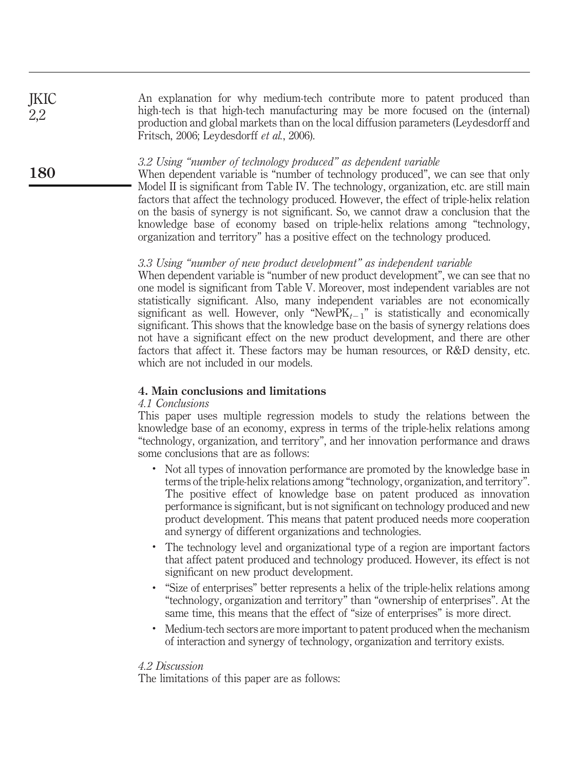An explanation for why medium-tech contribute more to patent produced than high-tech is that high-tech manufacturing may be more focused on the (internal) production and global markets than on the local diffusion parameters (Leydesdorff and Fritsch, 2006; Leydesdorff et al., 2006).

### 3.2 Using "number of technology produced" as dependent variable

When dependent variable is "number of technology produced", we can see that only Model II is significant from Table IV. The technology, organization, etc. are still main factors that affect the technology produced. However, the effect of triple-helix relation on the basis of synergy is not significant. So, we cannot draw a conclusion that the knowledge base of economy based on triple-helix relations among "technology, organization and territory" has a positive effect on the technology produced.

### 3.3 Using "number of new product development" as independent variable

When dependent variable is "number of new product development", we can see that no one model is significant from Table V. Moreover, most independent variables are not statistically significant. Also, many independent variables are not economically significant as well. However, only "NewP $K_{t-1}$ " is statistically and economically significant. This shows that the knowledge base on the basis of synergy relations does not have a significant effect on the new product development, and there are other factors that affect it. These factors may be human resources, or R&D density, etc. which are not included in our models.

# 4. Main conclusions and limitations

# 4.1 Conclusions

This paper uses multiple regression models to study the relations between the knowledge base of an economy, express in terms of the triple-helix relations among "technology, organization, and territory", and her innovation performance and draws some conclusions that are as follows:

- . Not all types of innovation performance are promoted by the knowledge base in terms of the triple-helix relations among "technology, organization, and territory". The positive effect of knowledge base on patent produced as innovation performance is significant, but is not significant on technology produced and new product development. This means that patent produced needs more cooperation and synergy of different organizations and technologies.
- . The technology level and organizational type of a region are important factors that affect patent produced and technology produced. However, its effect is not significant on new product development.
- . "Size of enterprises" better represents a helix of the triple-helix relations among "technology, organization and territory" than "ownership of enterprises". At the same time, this means that the effect of "size of enterprises" is more direct.
- . Medium-tech sectors are more important to patent produced when the mechanism of interaction and synergy of technology, organization and territory exists.

#### 4.2 Discussion

The limitations of this paper are as follows: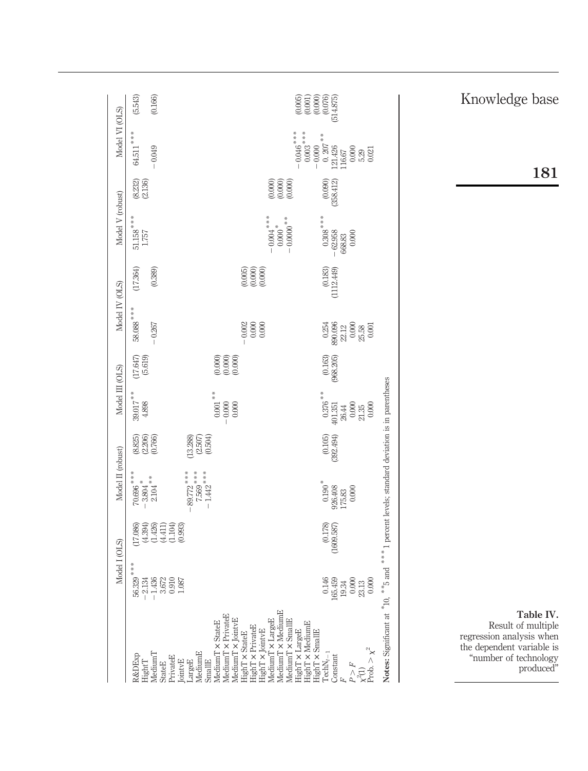|                   | (5.543)                                                                 | (0.166)                                                                                                                                                                                                                                                                                                             |                                                          |                                     |                                       | $\begin{array}{c} (0.005) \\ (0.001) \\ (0.000) \\ (0.000) \\ (0.076) \\ (514.875) \end{array}$ |                                                                                                                                                                                                                                                                                                                     |                                                                                              |
|-------------------|-------------------------------------------------------------------------|---------------------------------------------------------------------------------------------------------------------------------------------------------------------------------------------------------------------------------------------------------------------------------------------------------------------|----------------------------------------------------------|-------------------------------------|---------------------------------------|-------------------------------------------------------------------------------------------------|---------------------------------------------------------------------------------------------------------------------------------------------------------------------------------------------------------------------------------------------------------------------------------------------------------------------|----------------------------------------------------------------------------------------------|
| Model VI (OLS)    | $64.511$ $^{\ast\,*}$                                                   | $-0.049$                                                                                                                                                                                                                                                                                                            |                                                          |                                     |                                       | $-0.046$ ***                                                                                    | $\begin{array}{l} 0.003 \\ 0.000 \\ -0.000 \\ 0.207 \\ 121496 \\ 116.67 \\ 0.000 \\ 5.29 \\ 0.021 \\ \end{array}$                                                                                                                                                                                                   |                                                                                              |
|                   | $(8.232)$<br>$(2.136)$                                                  |                                                                                                                                                                                                                                                                                                                     |                                                          |                                     | $0.0000$<br>$0.0000$                  |                                                                                                 | $(0.090)$<br>$(358.412)$                                                                                                                                                                                                                                                                                            |                                                                                              |
| Model V (robust)  | $51.158$ ***<br>$1.757$                                                 |                                                                                                                                                                                                                                                                                                                     |                                                          |                                     | $-0.004$ ****<br>0.000<br>$-0.000$ ** |                                                                                                 | $\begin{array}{r} 0.308 \\ -62.958 \\ 668.83 \\ 0.000 \\ \end{array}$                                                                                                                                                                                                                                               |                                                                                              |
| Model IV (OLS)    | (17.364)                                                                | (0.389)                                                                                                                                                                                                                                                                                                             |                                                          | $(0.005)$<br>$(0.000)$<br>$(0.000)$ |                                       |                                                                                                 | $(0.183)$<br>$(1112.449)$                                                                                                                                                                                                                                                                                           |                                                                                              |
|                   | $58.088$ $\hspace{0.1cm}^{***}$                                         | $-0.267$                                                                                                                                                                                                                                                                                                            |                                                          | 0.0000<br>0.002                     |                                       |                                                                                                 | $\begin{array}{c} 0.254 \\ 0.29 \\ 99 \\ 21 \\ 21 \\ 0.00 \\ 0.001 \\ 0.001 \\ \end{array}$                                                                                                                                                                                                                         |                                                                                              |
|                   | $(17.647)$<br>$(5.619)$                                                 |                                                                                                                                                                                                                                                                                                                     | $(0.000)$<br>$(0.000)$                                   |                                     |                                       |                                                                                                 | $(0.163)$<br>$(968.205)$                                                                                                                                                                                                                                                                                            |                                                                                              |
| Model III (OLS)   | $39.017$ $^{\ast\,*}$<br>4.898                                          |                                                                                                                                                                                                                                                                                                                     | $\begin{matrix} 0.001 \ * \ -0.000 \ 0.000 \end{matrix}$ |                                     |                                       |                                                                                                 | $\begin{array}{c} 0.376^{**} \\ 401.351 \\ 26.44 \\ 0.000 \\ 21.35 \\ 21.35 \\ 0.000 \\ \end{array}$                                                                                                                                                                                                                |                                                                                              |
|                   | (8.825)<br>(2.206)<br>(0.766)                                           |                                                                                                                                                                                                                                                                                                                     | $(2.507)$<br>$(2.507)$                                   |                                     |                                       |                                                                                                 | $(0.105)$<br>(392.494)                                                                                                                                                                                                                                                                                              |                                                                                              |
| Model II (robust) | $\begin{array}{c} 70.696^{***} \\ -3.804^{*} \\ 2.104^{**} \end{array}$ |                                                                                                                                                                                                                                                                                                                     | $-89.772***$<br>$7.569***$<br>-1.442***                  |                                     |                                       |                                                                                                 | $\begin{array}{c} 0.190 \\ 926.408 \\ 175.83 \end{array}$<br>0.000                                                                                                                                                                                                                                                  | $\ast\ast\ast$ and $\ast\ast\ast\ast$ 1 percent levels; standard deviation is in parentheses |
|                   |                                                                         | $\begin{array}{l} 0.086 \\[-4pt] 0.014 \\[-4pt] 0.014 \\[-4pt] 0.014 \\[-4pt] 0.014 \\[-4pt] 0.014 \\[-4pt] 0.014 \\[-4pt] 0.014 \\[-4pt] 0.014 \\[-4pt] 0.014 \\[-4pt] 0.014 \\[-4pt] 0.014 \\[-4pt] 0.014 \\[-4pt] 0.014 \\[-4pt] 0.014 \\[-4pt] 0.014 \\[-4pt] 0.014 \\[-4pt] 0.014 \\[-4pt] 0.014 \\[-4pt] 0.0$ |                                                          |                                     |                                       |                                                                                                 | $(0.178)$<br>(1609.587)                                                                                                                                                                                                                                                                                             |                                                                                              |
| Model I (OLS)     | $56.329***$                                                             | $\begin{array}{r} -2.134 \\ -1.436 \\ 3.672 \\ 0.910 \\ 1.087 \end{array}$                                                                                                                                                                                                                                          |                                                          |                                     |                                       |                                                                                                 | $\begin{array}{c} 0.146 \\[-4pt] 0.54 \\[-4pt] 19.34 \\[-4pt] 0.000 \\[-4pt] 0.31 \\[-4pt] 0.000 \\[-4pt] 0.000 \\[-4pt] 0.000 \\[-4pt] 0.000 \\[-4pt] 0.000 \\[-4pt] 0.000 \\[-4pt] 0.000 \\[-4pt] 0.000 \\[-4pt] 0.000 \\[-4pt] 0.000 \\[-4pt] 0.000 \\[-4pt] 0.000 \\[-4pt] 0.000 \\[-4pt] 0.000 \\[-4pt] 0.000$ |                                                                                              |
|                   |                                                                         |                                                                                                                                                                                                                                                                                                                     |                                                          |                                     |                                       |                                                                                                 | $\begin{array}{l} P > F \\ \chi^2(1) \\ \text{Prob.} > \chi^2 \end{array}$                                                                                                                                                                                                                                          | Notes: Significant at *10,                                                                   |

Knowledge base

181

Table IV. Result of multiple regression analysis when the dependent variable is "number of technology produced"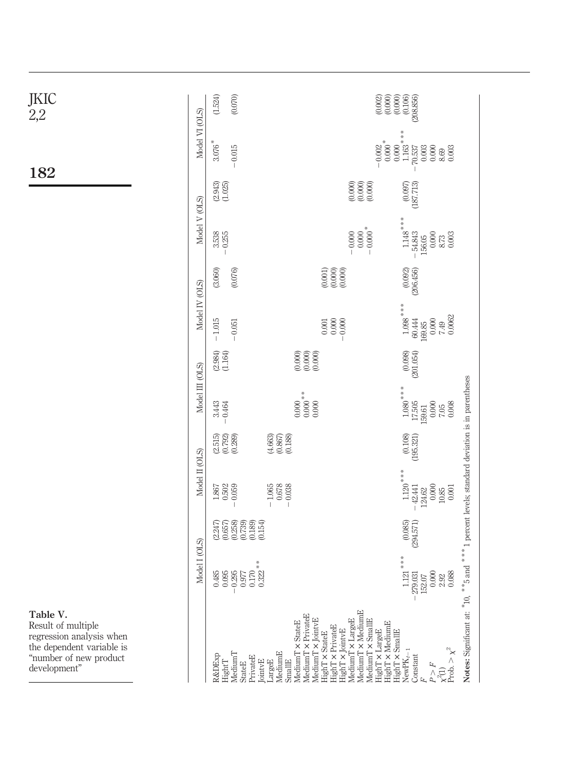| IС                                                                                                            |                 | (0.070)<br>(1.524)                                                              |                                                                                                                                  | $(0.000)$<br>$(0.000)$<br>(0.002)                                                              | $(0.106)$<br>$(208.856)$                                                                                                                                                                                                                                |                                                                                            |
|---------------------------------------------------------------------------------------------------------------|-----------------|---------------------------------------------------------------------------------|----------------------------------------------------------------------------------------------------------------------------------|------------------------------------------------------------------------------------------------|---------------------------------------------------------------------------------------------------------------------------------------------------------------------------------------------------------------------------------------------------------|--------------------------------------------------------------------------------------------|
| $\overline{2}$                                                                                                | Model VI (OLS)  | 3.076<br>$-0.015$                                                               |                                                                                                                                  | $0.000$ $^{\ast}$<br>$-0.002$<br>0.000                                                         | $1.163***$<br>70.537<br>0.003<br>$0.000$<br>8.69<br>0.003                                                                                                                                                                                               |                                                                                            |
|                                                                                                               |                 | $(2.943)$<br>$(1.025)$                                                          |                                                                                                                                  | (0.000)<br>$(0.000)$<br>$(0.000)$                                                              | (187.713)                                                                                                                                                                                                                                               |                                                                                            |
|                                                                                                               | Model V (OLS)   | 3.538<br>$-0.255$                                                               |                                                                                                                                  | $-0.000$ <sup>*</sup><br>$0.000$<br>$-0.000$                                                   | $1.148$ ***<br>0.000<br>$-54.843$<br>0.003<br>156.05<br>8.73                                                                                                                                                                                            |                                                                                            |
|                                                                                                               |                 | (0.076)<br>(3.060)                                                              | $(0.001)$<br>$(0.000)$<br>$(0.000)$                                                                                              |                                                                                                | $(0.092)$<br>$(206.456)$                                                                                                                                                                                                                                |                                                                                            |
|                                                                                                               | Model IV (OLS)  | $-1.015$<br>$-0.051$                                                            | 0.000<br>0.001                                                                                                                   | $-0.000$                                                                                       | $1.098$ ***<br>7.49<br>0.0062<br>0.000<br>60.444<br>169.85                                                                                                                                                                                              |                                                                                            |
|                                                                                                               |                 | $(2.984)$<br>$(1.164)$                                                          | (0.000)<br>$(0.000)$<br>$(0.000)$                                                                                                |                                                                                                | (201.054)                                                                                                                                                                                                                                               |                                                                                            |
|                                                                                                               | Model III (OLS) | 3.443<br>$-0.464$                                                               | $0.000$ <sup>**</sup><br>$0.000$<br>0.000                                                                                        |                                                                                                | $1.080^{\;***}$<br>$17.505$<br>$159.61$<br>0.000<br>$7.05$<br>$0.008$                                                                                                                                                                                   |                                                                                            |
|                                                                                                               |                 | $(2.515)$<br>$(0.792)$<br>$(0.289)$                                             | (4.663)<br>(0.188)<br>(0.867)                                                                                                    |                                                                                                | $(0.108)$<br>$(195.321)$                                                                                                                                                                                                                                |                                                                                            |
|                                                                                                               | Model II (OLS)  | $\begin{array}{r} 1.867 \\ 0.502 \\ -0.502 \end{array}$                         | $-1.065$<br>$-0.678$                                                                                                             |                                                                                                | $1.120^{***}$<br>0.000<br>42.441<br>0.001<br>124.62<br>$10.85\,$                                                                                                                                                                                        | $\ast\ast_{5}$ and $\ast\ast\ast_{1}$ percent levels; standard deviation is in parentheses |
|                                                                                                               |                 | $(2.247)$<br>$(0.657)$<br>$(0.258)$<br>$(0.739)$<br>$(0.189)$<br>(0.154)        |                                                                                                                                  |                                                                                                | $(0.085)$<br>$(294.571)$                                                                                                                                                                                                                                |                                                                                            |
|                                                                                                               | Model I (OLS)   | $\frac{0.977}{0.170}$<br>$0.322$ **<br>0.295<br>0.095<br>0.485                  |                                                                                                                                  |                                                                                                | $1.121$ ***<br>$0.000$<br>0.088<br>$-279.031$<br>152.07<br>2.92                                                                                                                                                                                         |                                                                                            |
| le V.<br>alt of multiple<br>ession analysis when<br>dependent variable is<br>nber of new product<br>elopment" |                 | Medium <sub>1</sub><br>R&DExp<br>PrivateE<br>JointvE<br>HightT<br><b>StateE</b> | MediumT × PrivateE<br>MediumT × JointvE<br>MediumT × StateE<br>HighT × StateE<br>HighT × PrivateE<br>MediumE<br>LargeE<br>SmallE | MediumT × MediumE<br>MediumT × LargeE<br>MediumT × SmallE<br>HighT × JointvE<br>HighT × LargeE | $\begin{array}{l} \mathrm{HighT}\times\mathrm{Me\ddot{d}umE}\\ \mathrm{HighT}\times\mathrm{SmallE}\\ \mathrm{NewPK}_{r-1}\\ \mathrm{Const} \end{array}$<br>$\begin{array}{l} P > F \\ \chi^2(1) \\ \text{Prob.} > \chi^2 \end{array}$<br>$\overline{F}$ | Notes: Significant at: *10,                                                                |

JKIC 2,2

<u>18</u>

Tab

Result of multiple regression analysis when the dependent variable is "number of new product development"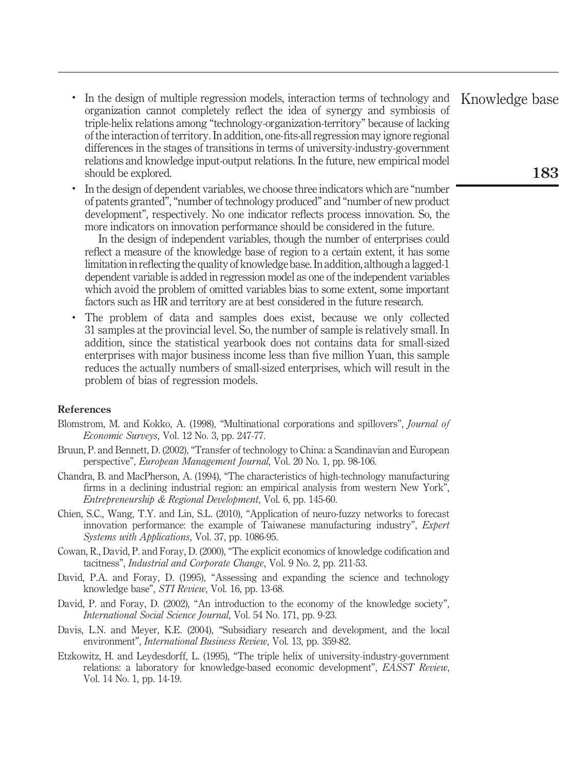- . In the design of multiple regression models, interaction terms of technology and organization cannot completely reflect the idea of synergy and symbiosis of triple-helix relations among "technology-organization-territory" because of lacking of the interaction of territory. In addition, one-fits-all regression may ignore regional differences in the stages of transitions in terms of university-industry-government relations and knowledge input-output relations. In the future, new empirical model should be explored.
- . In the design of dependent variables, we choose three indicators which are "number of patents granted", "number of technology produced" and "number of new product development", respectively. No one indicator reflects process innovation. So, the more indicators on innovation performance should be considered in the future.

In the design of independent variables, though the number of enterprises could reflect a measure of the knowledge base of region to a certain extent, it has some limitation in reflecting the quality of knowledge base. In addition, although a lagged-1 dependent variable is added in regression model as one of the independent variables which avoid the problem of omitted variables bias to some extent, some important factors such as HR and territory are at best considered in the future research.

. The problem of data and samples does exist, because we only collected 31 samples at the provincial level. So, the number of sample is relatively small. In addition, since the statistical yearbook does not contains data for small-sized enterprises with major business income less than five million Yuan, this sample reduces the actually numbers of small-sized enterprises, which will result in the problem of bias of regression models.

## References

- Blomstrom, M. and Kokko, A. (1998), "Multinational corporations and spillovers", Journal of Economic Surveys, Vol. 12 No. 3, pp. 247-77.
- Bruun, P. and Bennett, D. (2002), "Transfer of technology to China: a Scandinavian and European perspective", European Management Journal, Vol. 20 No. 1, pp. 98-106.
- Chandra, B. and MacPherson, A. (1994), "The characteristics of high-technology manufacturing firms in a declining industrial region: an empirical analysis from western New York", Entrepreneurship & Regional Development, Vol. 6, pp. 145-60.
- Chien, S.C., Wang, T.Y. and Lin, S.L. (2010), "Application of neuro-fuzzy networks to forecast innovation performance: the example of Taiwanese manufacturing industry", Expert Systems with Applications, Vol. 37, pp. 1086-95.
- Cowan, R., David, P. and Foray, D. (2000), "The explicit economics of knowledge codification and tacitness", Industrial and Corporate Change, Vol. 9 No. 2, pp. 211-53.
- David, P.A. and Foray, D. (1995), "Assessing and expanding the science and technology knowledge base", STI Review, Vol. 16, pp. 13-68.
- David, P. and Foray, D. (2002), "An introduction to the economy of the knowledge society", International Social Science Journal, Vol. 54 No. 171, pp. 9-23.
- Davis, L.N. and Meyer, K.E. (2004), "Subsidiary research and development, and the local environment", International Business Review, Vol. 13, pp. 359-82.
- Etzkowitz, H. and Leydesdorff, L. (1995), "The triple helix of university-industry-government relations: a laboratory for knowledge-based economic development", EASST Review, Vol. 14 No. 1, pp. 14-19.

Knowledge base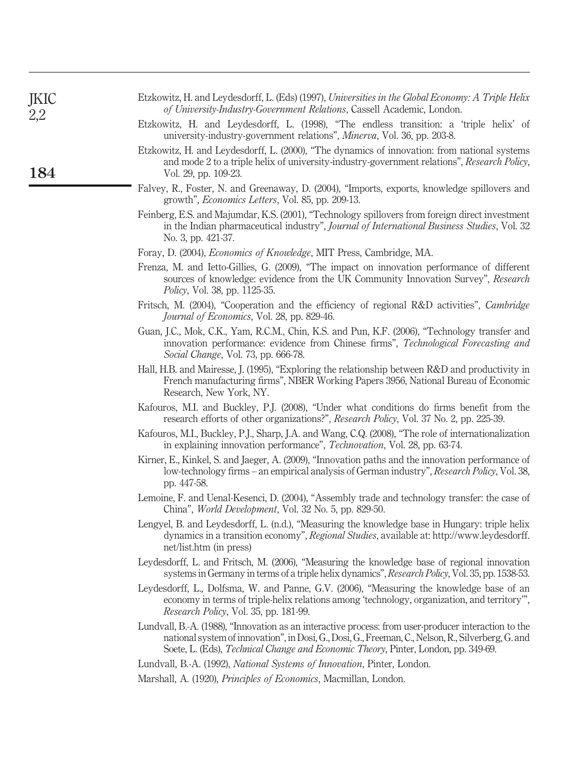| JKIC | Etzkowitz, H. and Leydesdorff, L. (Eds) (1997), Universities in the Global Economy: A Triple Helix<br>of University-Industry-Government Relations, Cassell Academic, London.                                                                                                                     |
|------|--------------------------------------------------------------------------------------------------------------------------------------------------------------------------------------------------------------------------------------------------------------------------------------------------|
| 2,2  | Etzkowitz, H. and Leydesdorff, L. (1998), "The endless transition: a 'triple helix' of<br>university-industry-government relations", Minerva, Vol. 36, pp. 203-8.                                                                                                                                |
| 184  | Etzkowitz, H. and Leydesdorff, L. (2000), "The dynamics of innovation: from national systems<br>and mode 2 to a triple helix of university-industry-government relations", Research Policy,<br>Vol. 29, pp. 109-23.                                                                              |
|      | Falvey, R., Foster, N. and Greenaway, D. (2004), "Imports, exports, knowledge spillovers and<br>growth", <i>Economics Letters</i> , Vol. 85, pp. 209-13.                                                                                                                                         |
|      | Feinberg, E.S. and Majumdar, K.S. (2001), "Technology spillovers from foreign direct investment<br>in the Indian pharmaceutical industry", Journal of International Business Studies, Vol. 32<br>No. 3, pp. 421-37.                                                                              |
|      | Foray, D. (2004), Economics of Knowledge, MIT Press, Cambridge, MA.                                                                                                                                                                                                                              |
|      | Frenza, M. and Ietto-Gillies, G. (2009), "The impact on innovation performance of different<br>sources of knowledge: evidence from the UK Community Innovation Survey", Research<br><i>Policy</i> , Vol. 38, pp. 1125-35.                                                                        |
|      | Fritsch, M. (2004), "Cooperation and the efficiency of regional R&D activities", Cambridge<br><i>Journal of Economics</i> , Vol. 28, pp. 829-46.                                                                                                                                                 |
|      | Guan, J.C., Mok, C.K., Yam, R.C.M., Chin, K.S. and Pun, K.F. (2006), "Technology transfer and<br>innovation performance: evidence from Chinese firms", Technological Forecasting and<br>Social Change, Vol. 73, pp. 666-78.                                                                      |
|      | Hall, H.B. and Mairesse, J. (1995), "Exploring the relationship between R&D and productivity in<br>French manufacturing firms", NBER Working Papers 3956, National Bureau of Economic<br>Research, New York, NY.                                                                                 |
|      | Kafouros, M.I. and Buckley, P.J. (2008), "Under what conditions do firms benefit from the<br>research efforts of other organizations?", Research Policy, Vol. 37 No. 2, pp. 225-39.                                                                                                              |
|      | Kafouros, M.I., Buckley, P.J., Sharp, J.A. and Wang, C.Q. (2008), "The role of internationalization<br>in explaining innovation performance", Technovation, Vol. 28, pp. 63-74.                                                                                                                  |
|      | Kirner, E., Kinkel, S. and Jaeger, A. (2009), "Innovation paths and the innovation performance of<br>low-technology firms – an empirical analysis of German industry", Research Policy, Vol. 38,<br>pp. 447-58.                                                                                  |
|      | Lemoine, F. and Uenal-Kesenci, D. (2004), "Assembly trade and technology transfer: the case of<br>China", <i>World Development</i> , Vol. 32 No. 5, pp. 829-50.                                                                                                                                  |
|      | Lengyel, B. and Leydesdorff, L. (n.d.), "Measuring the knowledge base in Hungary: triple helix<br>dynamics in a transition economy", Regional Studies, available at: http://www.leydesdorff.<br>net/list.htm (in press)                                                                          |
|      | Leydesdorff, L. and Fritsch, M. (2006), "Measuring the knowledge base of regional innovation<br>systems in Germany in terms of a triple helix dynamics", Research Policy, Vol. 35, pp. 1538-53.                                                                                                  |
|      | Leydesdorff, L., Dolfsma, W. and Panne, G.V. (2006), "Measuring the knowledge base of an<br>economy in terms of triple-helix relations among 'technology, organization, and territory'",<br>Research Policy, Vol. 35, pp. 181-99.                                                                |
|      | Lundvall, B.-A. (1988), "Innovation as an interactive process: from user-producer interaction to the<br>national system of innovation", in Dosi, G., Dosi, G., Freeman, C., Nelson, R., Silverberg, G. and<br>Soete, L. (Eds), Technical Change and Economic Theory, Pinter, London, pp. 349-69. |
|      | Lundvall, B.-A. (1992), National Systems of Innovation, Pinter, London.                                                                                                                                                                                                                          |
|      | Marshall, A. (1920), Principles of Economics, Macmillan, London.                                                                                                                                                                                                                                 |
|      |                                                                                                                                                                                                                                                                                                  |